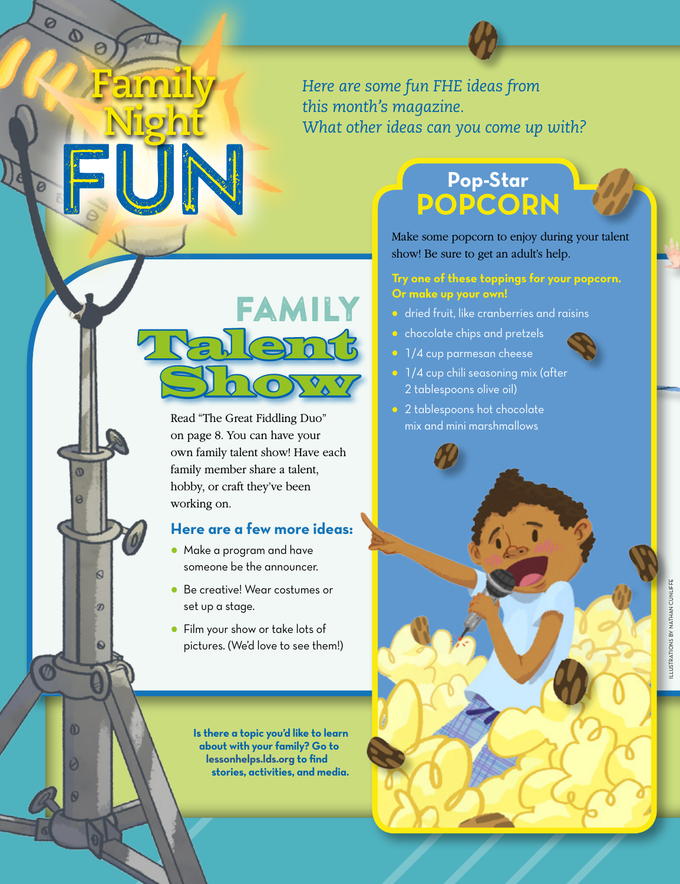### *Here are some fun FHE ideas from this month's magazine. What other ideas can you come up with?*

# Family **Lernt** Showy

FUN

**Family** 

Ø

 $\Phi$ 

 $\omega$ 

Ø

 $\omega$ 

Ø

Ñ

**Night** 

Read "The Great Fiddling Duo" on page 8. You can have your own family talent show! Have each family member share a talent, hobby, or craft they've been working on.

#### **Here are a few more ideas:**

- Make a program and have someone be the announcer.
- Be creative! Wear costumes or set up a stage.
- Film your show or take lots of pictures. (We'd love to see them!)

**Is there a topic you'd like to learn about with your family? Go to [lessonhelps.lds.org](http://lessonhelps.lds.org) to find stories, activities, and media.**

### **Pop-Star POPCORN**

Make some popcorn to enjoy during your talent show! Be sure to get an adult's help.

#### **Try one of these toppings for your popcorn. Or make up your own!**

- **•** dried fruit, like cranberries and raisins
- chocolate chips and pretzels
- 1/4 cup parmesan cheese
- 1/4 cup chili seasoning mix (after 2 tablespoons olive oil)
- 2 tablespoons hot chocolate mix and mini marshmallows